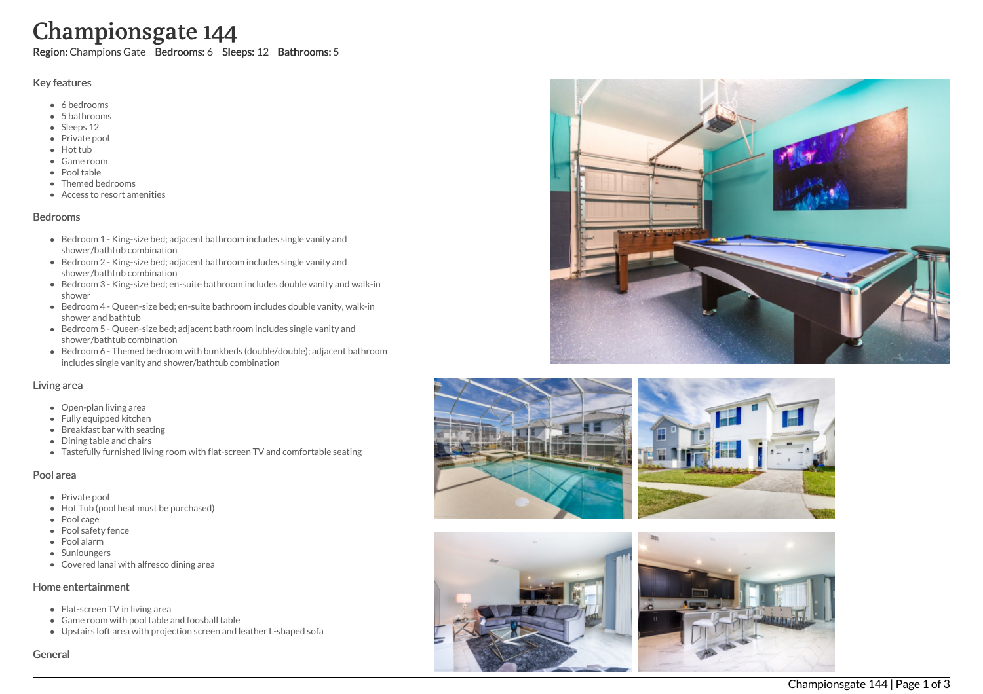# **Char**<br>
Region: Char<br>
Region: Char<br>
Shat <br>
Shat <br>
Shat <br>
Priva<br>
Priva<br>
Priva<br>
Redrooms<br>
Bedrooms<br>
Bedrooms<br>
Bedrooms<br>
Bedrooms<br>
Bedrooms<br>
Bedrooms<br>
Bedrooms<br>
Bedrooms<br>
Bedrooms<br>
Bedrooms<br>
Bedrooms<br>
Bedrooms<br>
Bedrooms<br>
Bedr mpionsgate 144

Region: Champions Gate Bedrooms: 6 Sleeps: 12 Bathrooms: 5

### Key features

- 6 b e d r o o m s
- 5 b a t h r o o m s
- Sleeps 12
- Private pool
- Hot tub
- Game room
- Pool table
- Themed bedrooms
- Access to resort amenities

### **Bedrooms**

- Bedroom 1 King-size bed; adjacent bathroom includes single vanity and shower/bathtub combination
- Bedroom 2 King-size bed; adjacent bathroom includes single vanity and shower/bathtub combination
- Bedroom 3 King-size bed; en-suite bathroom includes double vanity and walk-in s h o w e r
- Bedroom 4 Queen-size bed; en-suite bathroom includes double vanity, walk-in shower and bathtub
- Bedroom 5 Queen-size bed; adjacent bathroom includes single vanity and shower/bathtub combination
- Bedroom 6 Themed bedroom with bunkbeds (double/double); adjacent bathroom includes single vanity and shower/bathtub combination

### Living area

- Open-plan living area
- Fully equipped kitchen
- Breakfast bar with seating
- Dining table and chairs
- Tastefully furnished living room with flat-screen TV and comfortable seating

### Pool area

- Private pool
- Hot Tub (pool heat must be purchased)
- Pool cage
- Pool safety fence
- P o ol ala r m
- **Sunloungers**
- Covered lanai with alfresco dining area

### Home entertainment

- Flat-screen TV in living area
- Game room with pool table and foosball table
- Upstairs loft area with projection screen and leather L-shaped sofa











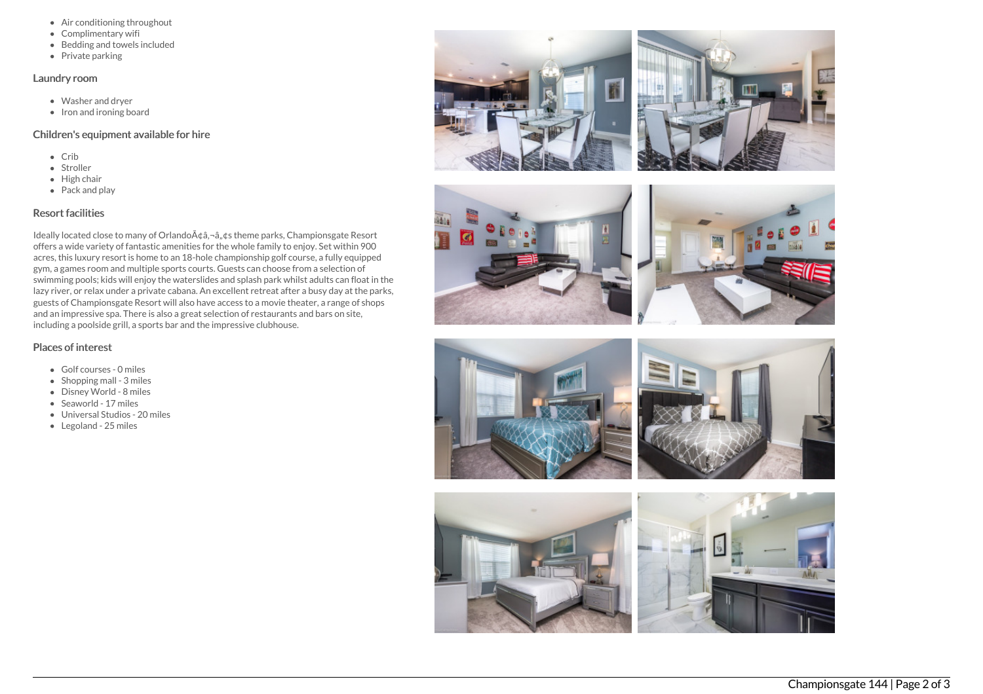- Air conditioning throughout
- Complimentary wifi
- Bedding and towels included
- $\bullet$  Private parking

### Laundry room

- Washer and dryer
- Iron and ironing board

## Children's equipment available for hire

- $\bullet$  Crib
- Stroller
- $\bullet$  High chair
- Pack and play

# Resort facilities

Ideally located close to many of Orlando A¢â,¬â, ¢s theme parks, Championsgate Resort offers a wide variety of fantastic amenities for the whole family to enjoy. Set within 900 acres, this luxury resort is home to an 18-hole championship golf course, a fully equipped gym, a games room and multiple sports courts. Guests can choose from a selection of swimming pools; kids will enjoy the waterslides and splash park whilst adults can float in the lazy river, or relax under a private cabana. An excellent retreat after a busy day at the parks, guests of Championsgate Resort will also have access to a movie theater, a range of shops and an impressive spa. There is also a great selection of restaurants and bars on site, including a poolside grill, a sports bar and the impressive clubhouse.

# Places of interest

- Golf courses 0 miles
- $\bullet$  Shopping mall 3 miles
- Disney World 8 miles
- Seaworld 17 miles
- Universal Studios 20 miles
- Legoland 25 miles